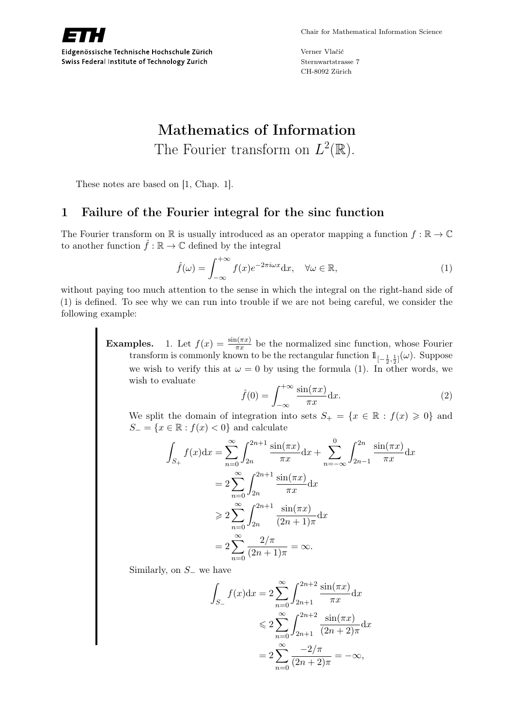

Verner Vlačić Sternwartstrasse 7 CH-8092 Zürich

# Mathematics of Information The Fourier transform on  $L^2(\mathbb{R})$ .

These notes are based on [1, Chap. 1].

# 1 Failure of the Fourier integral for the sinc function

The Fourier transform on R is usually introduced as an operator mapping a function  $f : \mathbb{R} \to \mathbb{C}$ to another function  $\hat{f} : \mathbb{R} \to \mathbb{C}$  defined by the integral

$$
\hat{f}(\omega) = \int_{-\infty}^{+\infty} f(x)e^{-2\pi i \omega x} dx, \quad \forall \omega \in \mathbb{R},
$$
\n(1)

without paying too much attention to the sense in which the integral on the right-hand side of (1) is defined. To see why we can run into trouble if we are not being careful, we consider the following example:

> **Examples.** 1. Let  $f(x) = \frac{\sin(\pi x)}{\pi x}$  be the normalized sinc function, whose Fourier transform is commonly known to be the rectangular function  $1\llbracket -\frac{1}{2},\frac{1}{2}\rrbracket(\omega)$ . Suppose we wish to verify this at  $\omega = 0$  by using the formula (1). In other words, we wish to evaluate

$$
\hat{f}(0) = \int_{-\infty}^{+\infty} \frac{\sin(\pi x)}{\pi x} dx.
$$
\n(2)

We split the domain of integration into sets  $S_+ = \{x \in \mathbb{R} : f(x) \geq 0\}$  and  $S_ = \{x \in \mathbb{R} : f(x) < 0\}$  and calculate

$$
\int_{S_+} f(x)dx = \sum_{n=0}^{\infty} \int_{2n}^{2n+1} \frac{\sin(\pi x)}{\pi x} dx + \sum_{n=-\infty}^{0} \int_{2n-1}^{2n} \frac{\sin(\pi x)}{\pi x} dx
$$

$$
= 2 \sum_{n=0}^{\infty} \int_{2n}^{2n+1} \frac{\sin(\pi x)}{\pi x} dx
$$

$$
\geq 2 \sum_{n=0}^{\infty} \int_{2n}^{2n+1} \frac{\sin(\pi x)}{(2n+1)\pi} dx
$$

$$
= 2 \sum_{n=0}^{\infty} \frac{2/\pi}{(2n+1)\pi} = \infty.
$$

Similarly, on  $S_$  we have

$$
\int_{S_{-}} f(x)dx = 2 \sum_{n=0}^{\infty} \int_{2n+1}^{2n+2} \frac{\sin(\pi x)}{\pi x} dx
$$
  
\n
$$
\leq 2 \sum_{n=0}^{\infty} \int_{2n+1}^{2n+2} \frac{\sin(\pi x)}{(2n+2)\pi} dx
$$
  
\n
$$
= 2 \sum_{n=0}^{\infty} \frac{-2/\pi}{(2n+2)\pi} = -\infty,
$$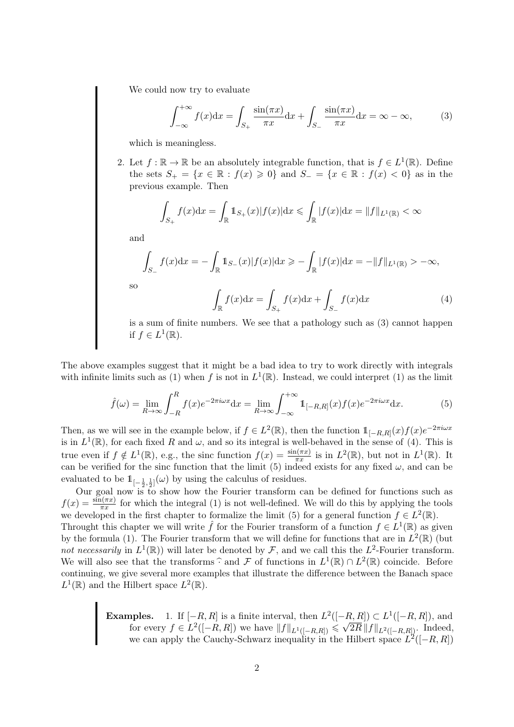We could now try to evaluate

$$
\int_{-\infty}^{+\infty} f(x)dx = \int_{S_+} \frac{\sin(\pi x)}{\pi x} dx + \int_{S_-} \frac{\sin(\pi x)}{\pi x} dx = \infty - \infty,
$$
 (3)

which is meaningless.

2. Let  $f : \mathbb{R} \to \mathbb{R}$  be an absolutely integrable function, that is  $f \in L^1(\mathbb{R})$ . Define the sets  $S_+ = \{x \in \mathbb{R} : f(x) \geq 0\}$  and  $S_- = \{x \in \mathbb{R} : f(x) < 0\}$  as in the previous example. Then

$$
\int_{S_+} f(x) dx = \int_{\mathbb{R}} 1_{S_+}(x) |f(x)| dx \le \int_{\mathbb{R}} |f(x)| dx = ||f||_{L^1(\mathbb{R})} < \infty
$$

and

$$
\int_{S_{-}} f(x) dx = - \int_{\mathbb{R}} 1_{S_{-}}(x) |f(x)| dx \ge - \int_{\mathbb{R}} |f(x)| dx = -||f||_{L^{1}(\mathbb{R})} > -\infty,
$$

so

$$
\int_{\mathbb{R}} f(x)dx = \int_{S_{+}} f(x)dx + \int_{S_{-}} f(x)dx
$$
\n(4)

is a sum of finite numbers. We see that a pathology such as (3) cannot happen if  $f \in L^1(\mathbb{R})$ .

The above examples suggest that it might be a bad idea to try to work directly with integrals with infinite limits such as (1) when f is not in  $L^1(\mathbb{R})$ . Instead, we could interpret (1) as the limit

$$
\hat{f}(\omega) = \lim_{R \to \infty} \int_{-R}^{R} f(x)e^{-2\pi i \omega x} dx = \lim_{R \to \infty} \int_{-\infty}^{+\infty} \mathbb{1}_{[-R,R]}(x)f(x)e^{-2\pi i \omega x} dx.
$$
 (5)

Then, as we will see in the example below, if  $f \in L^2(\mathbb{R})$ , then the function  $1\mathbb{1}_{[-R,R]}(x)f(x)e^{-2\pi i \omega x}$ is in  $L^1(\mathbb{R})$ , for each fixed R and  $\omega$ , and so its integral is well-behaved in the sense of (4). This is true even if  $f \notin L^1(\mathbb{R})$ , e.g., the sinc function  $f(x) = \frac{\sin(\pi x)}{\pi x}$  is in  $L^2(\mathbb{R})$ , but not in  $L^1(\mathbb{R})$ . It can be verified for the sinc function that the limit (5) indeed exists for any fixed  $\omega$ , and can be evaluated to be  $1\!\!1_{[-\frac{1}{2},\frac{1}{2}]}(\omega)$  by using the calculus of residues.

Our goal now is to show how the Fourier transform can be defined for functions such as  $f(x) = \frac{\sin(\pi x)}{\pi x}$  for which the integral (1) is not well-defined. We will do this by applying the tools we developed in the first chapter to formalize the limit (5) for a general function  $f \in L^2(\mathbb{R})$ . Throught this chapter we will write  $\hat{f}$  for the Fourier transform of a function  $f \in L^1(\mathbb{R})$  as given by the formula (1). The Fourier transform that we will define for functions that are in  $L^2(\mathbb{R})$  (but not necessarily in  $L^1(\mathbb{R})$  will later be denoted by F, and we call this the  $L^2$ -Fourier transform. We will also see that the transforms  $\hat{\cdot}$  and  $\hat{\mathcal{F}}$  of functions in  $L^1(\mathbb{R}) \cap L^2(\mathbb{R})$  coincide. Before continuing we give several more examples that illustrate the difference between the Banach space continuing, we give several more examples that illustrate the difference between the Banach space  $L^1(\mathbb{R})$  and the Hilbert space  $L^2(\mathbb{R})$ .

> **Examples.** 1. If  $[-R, R]$  is a finite interval, then  $L^2([-R, R]) \subset L^1([-R, R])$ , and **for every**  $f \in L^2([-R, R])$  we have  $||f||_{L^1([-R, R])} \le \sqrt{2}$  $2R \|f\|_{L^2([-R,R])}$ . Indeed, we can apply the Cauchy-Schwarz inequality in the Hilbert space  $L^2([-R, R])$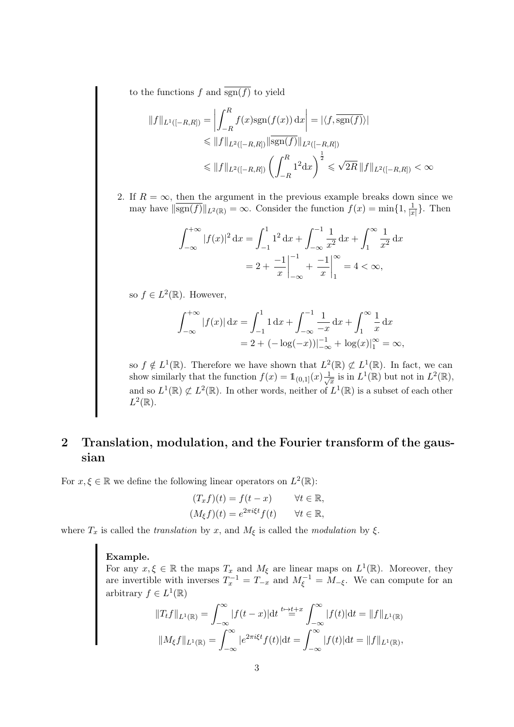to the functions f and  $\overline{\text{sgn}(f)}$  to yield

$$
||f||_{L^{1}([-R,R])} = \left| \int_{-R}^{R} f(x)sgn(f(x)) dx \right| = |\langle f, \overline{sgn(f)} \rangle|
$$
  
\n
$$
\leq ||f||_{L^{2}([-R,R])} || \overline{sgn(f)} ||_{L^{2}([-R,R])}
$$
  
\n
$$
\leq ||f||_{L^{2}([-R,R])} \left( \int_{-R}^{R} 1^{2} dx \right)^{\frac{1}{2}} \leq \sqrt{2R} ||f||_{L^{2}([-R,R])} < \infty
$$

2. If  $R = \infty$ , then the argument in the previous example breaks down since we may have  $\|\overline{\text{sgn}(f)}\|_{L^2(\mathbb{R})} = \infty$ . Consider the function  $f(x) = \min\{1, \frac{1}{|x|}$  $\frac{1}{|x|}$ . Then

$$
\int_{-\infty}^{+\infty} |f(x)|^2 dx = \int_{-1}^{1} 1^2 dx + \int_{-\infty}^{-1} \frac{1}{x^2} dx + \int_{1}^{\infty} \frac{1}{x^2} dx
$$

$$
= 2 + \left. \frac{-1}{x} \right|_{-\infty}^{-1} + \left. \frac{-1}{x} \right|_{1}^{\infty} = 4 < \infty,
$$

so  $f \in L^2(\mathbb{R})$ . However,

$$
\int_{-\infty}^{+\infty} |f(x)| dx = \int_{-1}^{1} 1 dx + \int_{-\infty}^{-1} \frac{1}{-x} dx + \int_{1}^{\infty} \frac{1}{x} dx
$$
  
= 2 + (-log(-x))|\_{-\infty}^{-1} + log(x)|\_{1}^{\infty} = \infty,

so  $f \notin L^1(\mathbb{R})$ . Therefore we have shown that  $L^2(\mathbb{R}) \not\subset L^1(\mathbb{R})$ . In fact, we can show similarly that the function  $f(x) = \mathbb{1}_{(0,1]}(x) \frac{1}{\sqrt{x}}$  $\frac{1}{\overline{x}}$  is in  $L^1(\mathbb{R})$  but not in  $L^2(\mathbb{R}),$ and so  $L^1(\mathbb{R}) \not\subset L^2(\mathbb{R})$ . In other words, neither of  $L^1(\mathbb{R})$  is a subset of each other  $L^2(\mathbb{R})$ .

# 2 Translation, modulation, and the Fourier transform of the gaussian

For  $x, \xi \in \mathbb{R}$  we define the following linear operators on  $L^2(\mathbb{R})$ :

$$
(T_x f)(t) = f(t - x) \qquad \forall t \in \mathbb{R},
$$
  

$$
(M_{\xi} f)(t) = e^{2\pi i \xi t} f(t) \qquad \forall t \in \mathbb{R},
$$

where  $T_x$  is called the *translation* by x, and  $M_\xi$  is called the *modulation* by  $\xi$ .

#### Example.

For any  $x, \xi \in \mathbb{R}$  the maps  $T_x$  and  $M_{\xi}$  are linear maps on  $L^1(\mathbb{R})$ . Moreover, they are invertible with inverses  $T_x^{-1} = T_{-x}$  and  $M_{\xi}^{-1} = M_{-\xi}$ . We can compute for an arbitrary  $f \in L^1(\mathbb{R})$ 

$$
||T_t f||_{L^1(\mathbb{R})} = \int_{-\infty}^{\infty} |f(t-x)| dt \stackrel{t \mapsto t}{=} \int_{-\infty}^{\infty} |f(t)| dt = ||f||_{L^1(\mathbb{R})}
$$

$$
||M_{\xi} f||_{L^1(\mathbb{R})} = \int_{-\infty}^{\infty} |e^{2\pi i \xi t} f(t)| dt = \int_{-\infty}^{\infty} |f(t)| dt = ||f||_{L^1(\mathbb{R})},
$$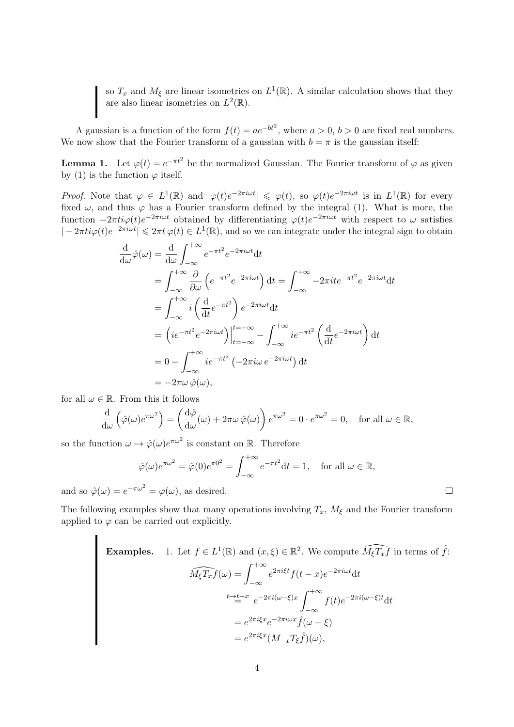so  $T_x$  and  $M_\xi$  are linear isometries on  $L^1(\mathbb{R})$ . A similar calculation shows that they are also linear isometries on  $L^2(\mathbb{R})$ .

A gaussian is a function of the form  $f(t) = ae^{-bt^2}$ , where  $a > 0$ ,  $b > 0$  are fixed real numbers. We now show that the Fourier transform of a gaussian with  $b = \pi$  is the gaussian itself:

**Lemma 1.** Let  $\varphi(t) = e^{-\pi t^2}$  be the normalized Gaussian. The Fourier transform of  $\varphi$  as given by (1) is the function  $\varphi$  itself.

Proof. Note that  $\varphi \in L^1(\mathbb{R})$  and  $|\varphi(t)e^{-2\pi i \omega t}| \leq \varphi(t)$ , so  $\varphi(t)e^{-2\pi i \omega t}$  is in  $L^1(\mathbb{R})$  for every fixed  $\omega$ , and thus  $\varphi$  has a Fourier transform defined by the integral (1). What is more, the function  $-2\pi i\varphi(t)e^{-2\pi i\omega t}$  obtained by differentiating  $\varphi(t)e^{-2\pi i\omega t}$  with respect to  $\omega$  satisfies  $|-2\pi i\varphi(t)e^{-2\pi i\omega t}| \leq 2\pi t \varphi(t) \in L^1(\mathbb{R})$ , and so we can integrate under the integral sign to obtain

$$
\frac{d}{d\omega}\hat{\varphi}(\omega) = \frac{d}{d\omega}\int_{-\infty}^{+\infty} e^{-\pi t^2} e^{-2\pi i \omega t} dt
$$
\n
$$
= \int_{-\infty}^{+\infty} \frac{\partial}{\partial \omega} \left( e^{-\pi t^2} e^{-2\pi i \omega t} \right) dt = \int_{-\infty}^{+\infty} -2\pi i t e^{-\pi t^2} e^{-2\pi i \omega t} dt
$$
\n
$$
= \int_{-\infty}^{+\infty} i \left( \frac{d}{dt} e^{-\pi t^2} \right) e^{-2\pi i \omega t} dt
$$
\n
$$
= \left( i e^{-\pi t^2} e^{-2\pi i \omega t} \right) \Big|_{t=-\infty}^{t=\infty} - \int_{-\infty}^{+\infty} i e^{-\pi t^2} \left( \frac{d}{dt} e^{-2\pi i \omega t} \right) dt
$$
\n
$$
= 0 - \int_{-\infty}^{+\infty} i e^{-\pi t^2} \left( -2\pi i \omega e^{-2\pi i \omega t} \right) dt
$$
\n
$$
= -2\pi \omega \, \hat{\varphi}(\omega),
$$

for all  $\omega \in \mathbb{R}$ . From this it follows

$$
\frac{\mathrm{d}}{\mathrm{d}\omega}\left(\hat{\varphi}(\omega)e^{\pi\omega^2}\right) = \left(\frac{\mathrm{d}\hat{\varphi}}{\mathrm{d}\omega}(\omega) + 2\pi\omega\,\hat{\varphi}(\omega)\right)e^{\pi\omega^2} = 0 \cdot e^{\pi\omega^2} = 0, \quad \text{for all } \omega \in \mathbb{R},
$$

so the function  $\omega \mapsto \hat{\varphi}(\omega)e^{\pi \omega^2}$  is constant on R. Therefore

$$
\hat{\varphi}(\omega)e^{\pi\omega^2} = \hat{\varphi}(0)e^{\pi 0^2} = \int_{-\infty}^{+\infty} e^{-\pi t^2} dt = 1, \text{ for all } \omega \in \mathbb{R},
$$

and so  $\hat{\varphi}(\omega) = e^{-\pi \omega^2} = \varphi(\omega)$ , as desired.

The following examples show that many operations involving  $T_x$ ,  $M_\xi$  and the Fourier transform applied to  $\varphi$  can be carried out explicitly.

**Examples.** 1. Let 
$$
f \in L^1(\mathbb{R})
$$
 and  $(x, \xi) \in \mathbb{R}^2$ . We compute  $\widehat{M_{\xi}T_x f}$  in terms of  $\hat{f}$ :  
\n
$$
\widehat{M_{\xi}T_x f}(\omega) = \int_{-\infty}^{+\infty} e^{2\pi i \xi t} f(t-x) e^{-2\pi i \omega t} dt
$$
\n
$$
\stackrel{t \mapsto t}{=} \stackrel{t}{=} e^{-2\pi i (\omega - \xi)x} \int_{-\infty}^{+\infty} f(t) e^{-2\pi i (\omega - \xi)t} dt
$$
\n
$$
= e^{2\pi i \xi x} e^{-2\pi i \omega x} \hat{f}(\omega - \xi)
$$
\n
$$
= e^{2\pi i \xi x} (M_{-x} T_{\xi} \hat{f})(\omega),
$$

 $\Box$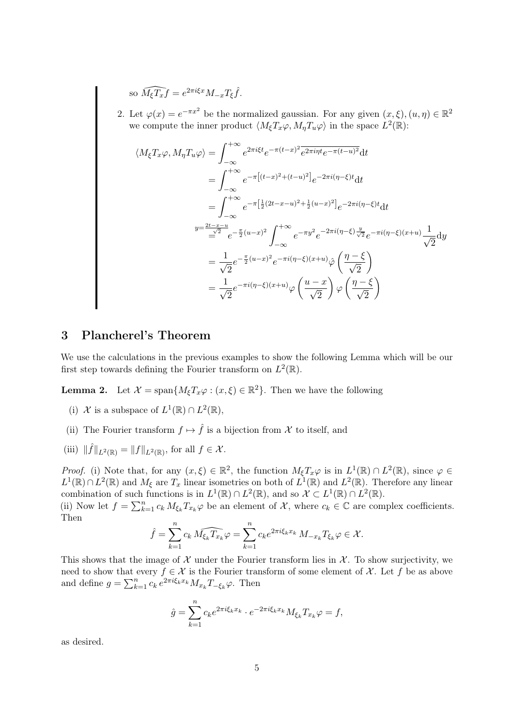so 
$$
\widehat{M_{\xi}T_x f} = e^{2\pi i \xi x} M_{-x} T_{\xi} \widehat{f}
$$
.

2. Let  $\varphi(x) = e^{-\pi x^2}$  be the normalized gaussian. For any given  $(x, \xi), (u, \eta) \in \mathbb{R}^2$ we compute the inner product  $\langle M_{\xi} T_x \varphi, M_{\eta} T_u \varphi \rangle$  in the space  $L^2(\mathbb{R})$ :

$$
\langle M_{\xi} T_{x} \varphi, M_{\eta} T_{u} \varphi \rangle = \int_{-\infty}^{+\infty} e^{2\pi i \xi t} e^{-\pi (t-x)^{2}} \overline{e^{2\pi i \eta t} e^{-\pi (t-u)^{2}}} dt
$$
  
\n
$$
= \int_{-\infty}^{+\infty} e^{-\pi \left[ (t-x)^{2} + (t-u)^{2} \right]} e^{-2\pi i (\eta - \xi)t} dt
$$
  
\n
$$
= \int_{-\infty}^{+\infty} e^{-\pi \left[ \frac{1}{2} (2t-x-u)^{2} + \frac{1}{2} (u-x)^{2} \right]} e^{-2\pi i (\eta - \xi)t} dt
$$
  
\n
$$
y = \frac{2t-x-u}{\underline{\omega}^{2}} e^{-\frac{\pi}{2} (u-x)^{2}} \int_{-\infty}^{+\infty} e^{-\pi y^{2}} e^{-2\pi i (\eta - \xi) \frac{y}{\sqrt{2}}} e^{-\pi i (\eta - \xi) (x+u)} \frac{1}{\sqrt{2}} dy
$$
  
\n
$$
= \frac{1}{\sqrt{2}} e^{-\frac{\pi}{2} (u-x)^{2}} e^{-\pi i (\eta - \xi) (x+u)} \hat{\varphi} \left( \frac{\eta - \xi}{\sqrt{2}} \right)
$$
  
\n
$$
= \frac{1}{\sqrt{2}} e^{-\pi i (\eta - \xi) (x+u)} \varphi \left( \frac{u-x}{\sqrt{2}} \right) \varphi \left( \frac{\eta - \xi}{\sqrt{2}} \right)
$$

# 3 Plancherel's Theorem

We use the calculations in the previous examples to show the following Lemma which will be our first step towards defining the Fourier transform on  $L^2(\mathbb{R})$ .

**Lemma 2.** Let  $\mathcal{X} = \text{span}\{M_{\xi}T_x\varphi : (x,\xi) \in \mathbb{R}^2\}$ . Then we have the following

- (i) X is a subspace of  $L^1(\mathbb{R}) \cap L^2(\mathbb{R})$ ,
- (ii) The Fourier transform  $f \mapsto \hat{f}$  is a bijection from X to itself, and
- (iii)  $\|\widehat{f}\|_{L^2(\mathbb{R})} = \|f\|_{L^2(\mathbb{R})}$ , for all  $f \in \mathcal{X}$ .

*Proof.* (i) Note that, for any  $(x,\xi) \in \mathbb{R}^2$ , the function  $M_{\xi}T_{x}\varphi$  is in  $L^1(\mathbb{R}) \cap L^2(\mathbb{R})$ , since  $\varphi \in$  $L^1(\mathbb{R}) \cap L^2(\mathbb{R})$  and  $M_{\xi}$  are  $T_x$  linear isometries on both of  $L^1(\mathbb{R})$  and  $L^2(\mathbb{R})$ . Therefore any linear combination of such functions is in  $L^1(\mathbb{R}) \cap L^2(\mathbb{R})$ , and so  $\mathcal{X} \subset L^1(\mathbb{R}) \cap L^2(\mathbb{R})$ .

(ii) Now let  $f = \sum_{k=1}^n c_k M_{\xi_k} T_{x_k} \varphi$  be an element of  $\mathcal{X}$ , where  $c_k \in \mathbb{C}$  are complex coefficients. Then

$$
\hat{f} = \sum_{k=1}^{n} c_k \widehat{M_{\xi_k} T_{x_k}} \varphi = \sum_{k=1}^{n} c_k e^{2\pi i \xi_k x_k} M_{-x_k} T_{\xi_k} \varphi \in \mathcal{X}.
$$

This shows that the image of  $\mathcal X$  under the Fourier transform lies in  $\mathcal X$ . To show surjectivity, we need to show that every  $f \in \mathcal{X}$  is the Fourier transform of some element of  $\mathcal{X}$ . Let f be as above and define  $g = \sum_{k=1}^{n} c_k e^{2\pi i \xi_k x_k} M_{x_k} T_{-\xi_k} \varphi$ . Then

$$
\hat{g} = \sum_{k=1}^{n} c_k e^{2\pi i \xi_k x_k} \cdot e^{-2\pi i \xi_k x_k} M_{\xi_k} T_{x_k} \varphi = f,
$$

as desired.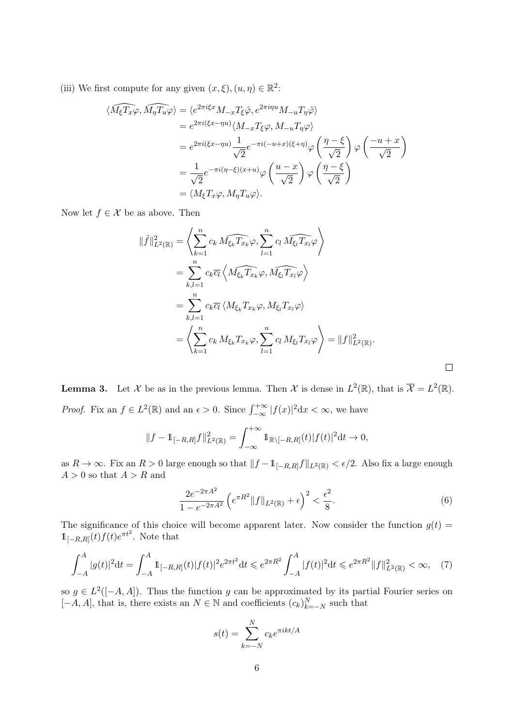(iii) We first compute for any given  $(x, \xi), (u, \eta) \in \mathbb{R}^2$ :

$$
\langle \widehat{M_{\xi}T_{x}}\varphi, \widehat{M_{\eta}T_{u}}\varphi \rangle = \langle e^{2\pi i\xi x} M_{-x}T_{\xi}\hat{\varphi}, e^{2\pi i\eta u} M_{-u}T_{\eta}\hat{\varphi} \rangle
$$
  
\n
$$
= e^{2\pi i(\xi x - \eta u)} \langle M_{-x}T_{\xi}\varphi, M_{-u}T_{\eta}\varphi \rangle
$$
  
\n
$$
= e^{2\pi i(\xi x - \eta u)} \frac{1}{\sqrt{2}} e^{-\pi i(-u+x)(\xi + \eta)} \varphi \left(\frac{\eta - \xi}{\sqrt{2}}\right) \varphi \left(\frac{-u + x}{\sqrt{2}}\right)
$$
  
\n
$$
= \frac{1}{\sqrt{2}} e^{-\pi i(\eta - \xi)(x + u)} \varphi \left(\frac{u - x}{\sqrt{2}}\right) \varphi \left(\frac{\eta - \xi}{\sqrt{2}}\right)
$$
  
\n
$$
= \langle M_{\xi}T_{x}\varphi, M_{\eta}T_{u}\varphi \rangle.
$$

Now let  $f \in \mathcal{X}$  be as above. Then

$$
\|\hat{f}\|_{L^{2}(\mathbb{R})}^{2} = \left\langle \sum_{k=1}^{n} c_{k} \widehat{M_{\xi_{k}}T_{x_{k}}} \varphi, \sum_{l=1}^{n} c_{l} \widehat{M_{\xi_{l}}T_{x_{l}}} \varphi \right\rangle
$$
  
\n
$$
= \sum_{k,l=1}^{n} c_{k} \overline{c_{l}} \left\langle \widehat{M_{\xi_{k}}T_{x_{k}}} \varphi, \widehat{M_{\xi_{l}}T_{x_{l}}} \varphi \right\rangle
$$
  
\n
$$
= \sum_{k,l=1}^{n} c_{k} \overline{c_{l}} \left\langle M_{\xi_{k}}T_{x_{k}} \varphi, M_{\xi_{l}}T_{x_{l}} \varphi \right\rangle
$$
  
\n
$$
= \left\langle \sum_{k=1}^{n} c_{k} M_{\xi_{k}}T_{x_{k}} \varphi, \sum_{l=1}^{n} c_{l} M_{\xi_{l}}T_{x_{l}} \varphi \right\rangle = \|f\|_{L^{2}(\mathbb{R})}^{2}.
$$

**Lemma 3.** Let X be as in the previous lemma. Then X is dense in  $L^2(\mathbb{R})$ , that is  $\overline{X} = L^2(\mathbb{R})$ . *Proof.* Fix an  $f \in L^2(\mathbb{R})$  and an  $\epsilon > 0$ . Since  $\int_{-\infty}^{+\infty} |f(x)|^2 dx < \infty$ , we have

$$
||f - \mathbb{1}_{[-R,R]}f||_{L^{2}(\mathbb{R})}^{2} = \int_{-\infty}^{+\infty} \mathbb{1}_{\mathbb{R}\setminus[-R,R]}(t) |f(t)|^{2} dt \to 0,
$$

as  $R \to \infty$ . Fix an  $R > 0$  large enough so that  $||f - 1_{[-R,R]}f||_{L^2(\mathbb{R})} < \epsilon/2$ . Also fix a large enough  $A > 0$  so that  $A > R$  and

$$
\frac{2e^{-2\pi A^2}}{1 - e^{-2\pi A^2}} \left( e^{\pi R^2} \|f\|_{L^2(\mathbb{R})} + \epsilon \right)^2 < \frac{\epsilon^2}{8}.\tag{6}
$$

The significance of this choice will become apparent later. Now consider the function  $g(t)$  =  $\mathbb{1}_{[-R,R]}(t) f(t) e^{\pi t^2}$ . Note that

$$
\int_{-A}^{A} |g(t)|^2 dt = \int_{-A}^{A} 1_{[-R,R]}(t) |f(t)|^2 e^{2\pi t^2} dt \leq e^{2\pi R^2} \int_{-A}^{A} |f(t)|^2 dt \leq e^{2\pi R^2} ||f||_{L^2(\mathbb{R})}^2 < \infty, \quad (7)
$$

so  $g \in L^2([-A, A])$ . Thus the function g can be approximated by its partial Fourier series on  $[-A, A]$ , that is, there exists an  $N \in \mathbb{N}$  and coefficients  $(c_k)_{k=-N}^N$  such that

$$
s(t) = \sum_{k=-N}^{N} c_k e^{\pi i kt/A}
$$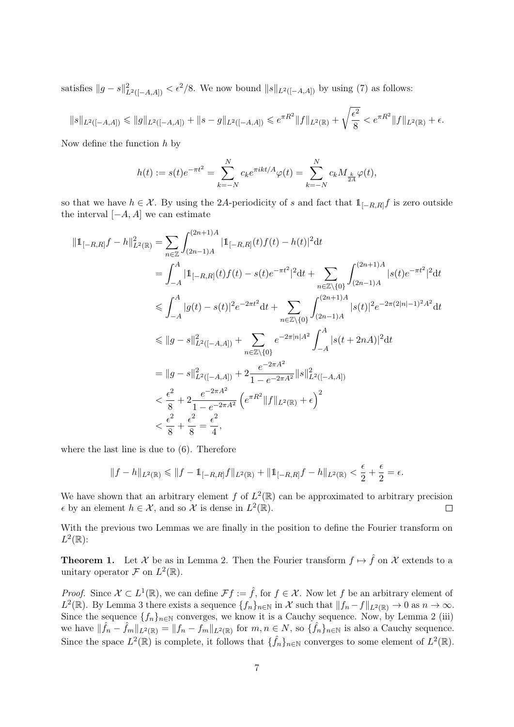satisfies  $||g - s||_{L^2([-A,A])}^2 < \epsilon^2/8$ . We now bound  $||s||_{L^2([-A,A])}$  by using (7) as follows:

$$
\|s\|_{L^2([-A,A])} \le \|g\|_{L^2([-A,A])} + \|s - g\|_{L^2([-A,A])} \le e^{\pi R^2} \|f\|_{L^2(\mathbb{R})} + \sqrt{\frac{\epsilon^2}{8}} < e^{\pi R^2} \|f\|_{L^2(\mathbb{R})} + \epsilon.
$$

Now define the function  $h$  by

$$
h(t):=s(t)e^{-\pi t^2}=\sum_{k=-N}^Nc_ke^{\pi ikt/A}\varphi(t)=\sum_{k=-N}^Nc_kM_{\frac{k}{2A}}\varphi(t),
$$

so that we have  $h \in \mathcal{X}$ . By using the 2A-periodicity of s and fact that  $1_{[-R,R]}f$  is zero outside the interval  $[-A, A]$  we can estimate

$$
\begin{split} \|\mathbb{1}_{[-R,R]}f - h\|_{L^{2}(\mathbb{R})}^{2} &= \sum_{n\in\mathbb{Z}} \int_{(2n-1)A}^{(2n+1)A} |\mathbb{1}_{[-R,R]}(t)f(t) - h(t)|^{2} \mathrm{d}t \\ &= \int_{-A}^{A} |\mathbb{1}_{[-R,R]}(t)f(t) - s(t)e^{-\pi t^{2}}|^{2} \mathrm{d}t + \sum_{n\in\mathbb{Z}\setminus\{0\}} \int_{(2n-1)A}^{(2n+1)A} |s(t)e^{-\pi t^{2}}|^{2} \mathrm{d}t \\ &\leqslant \int_{-A}^{A} |g(t) - s(t)|^{2} e^{-2\pi t^{2}} \mathrm{d}t + \sum_{n\in\mathbb{Z}\setminus\{0\}} \int_{(2n-1)A}^{(2n+1)A} |s(t)|^{2} e^{-2\pi (2|n|-1)^{2} A^{2}} \mathrm{d}t \\ &\leqslant \|g - s\|_{L^{2}([-A,A])}^{2} + \sum_{n\in\mathbb{Z}\setminus\{0\}} e^{-2\pi |n| A^{2}} \int_{-A}^{A} |s(t+2n)A|^{2} \mathrm{d}t \\ &= \|g - s\|_{L^{2}([-A,A])}^{2} + 2\frac{e^{-2\pi A^{2}}}{1 - e^{-2\pi A^{2}}} \|s\|_{L^{2}([-A,A])}^{2} \\ &< \frac{\epsilon^{2}}{8} + 2\frac{e^{-2\pi A^{2}}}{1 - e^{-2\pi A^{2}}} \left(e^{\pi R^{2}} \|f\|_{L^{2}(\mathbb{R})} + \epsilon\right)^{2} \\ &< \frac{\epsilon^{2}}{8} + \frac{\epsilon^{2}}{8} = \frac{\epsilon^{2}}{4}, \end{split}
$$

where the last line is due to (6). Therefore

$$
||f - h||_{L^{2}(\mathbb{R})} \le ||f - 1||_{[-R,R]}f||_{L^{2}(\mathbb{R})} + ||1||_{[-R,R]}f - h||_{L^{2}(\mathbb{R})} < \frac{\epsilon}{2} + \frac{\epsilon}{2} = \epsilon.
$$

We have shown that an arbitrary element f of  $L^2(\mathbb{R})$  can be approximated to arbitrary precision  $\epsilon$  by an element  $h \in \mathcal{X}$ , and so  $\mathcal{X}$  is dense in  $L^2(\mathbb{R})$ .  $\Box$ 

With the previous two Lemmas we are finally in the position to define the Fourier transform on  $L^2(\mathbb{R})$ :

**Theorem 1.** Let X be as in Lemma 2. Then the Fourier transform  $f \mapsto \hat{f}$  on X extends to a unitary operator  $\mathcal F$  on  $L^2(\mathbb R)$ .

*Proof.* Since  $\mathcal{X} \subset L^1(\mathbb{R})$ , we can define  $\mathcal{F}f := \hat{f}$ , for  $f \in \mathcal{X}$ . Now let f be an arbitrary element of  $L^2(\mathbb{R})$ . By Lemma 3 there exists a sequence  $\{f_n\}_{n\in\mathbb{N}}$  in X such that  $||f_n-f||_{L^2(\mathbb{R})} \to 0$  as  $n \to \infty$ . Since the sequence  $\{f_n\}_{n\in\mathbb{N}}$  converges, we know it is a Cauchy sequence. Now, by Lemma 2 (iii) we have  $\|\hat{f}_n - \hat{f}_m\|_{L^2(\mathbb{R})} = \|f_n - f_m\|_{L^2(\mathbb{R})}$  for  $m, n \in \mathbb{N}$ , so  $\{\hat{f}_n\}_{n \in \mathbb{N}}$  is also a Cauchy sequence. Since the space  $L^2(\mathbb{R})$  is complete, it follows that  $\{\hat{f}_n\}_{n\in\mathbb{N}}$  converges to some element of  $L^2(\mathbb{R})$ .